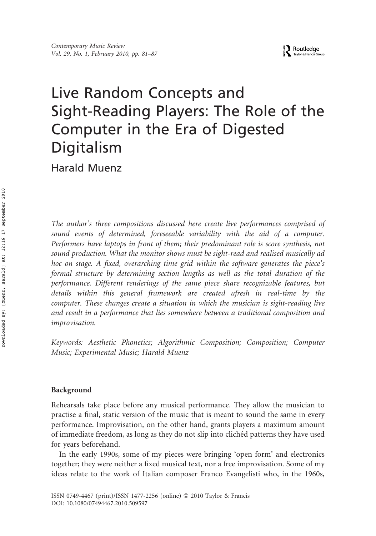# Live Random Concepts and Sight-Reading Players: The Role of the Computer in the Era of Digested **Digitalism**

Harald Muenz

The author's three compositions discussed here create live performances comprised of sound events of determined, foreseeable variability with the aid of a computer. Performers have laptops in front of them; their predominant role is score synthesis, not sound production. What the monitor shows must be sight-read and realised musically ad hoc on stage. A fixed, overarching time grid within the software generates the piece's formal structure by determining section lengths as well as the total duration of the performance. Different renderings of the same piece share recognizable features, but details within this general framework are created afresh in real-time by the computer. These changes create a situation in which the musician is sight-reading live and result in a performance that lies somewhere between a traditional composition and improvisation.

Keywords: Aesthetic Phonetics; Algorithmic Composition; Composition; Computer Music; Experimental Music; Harald Muenz

# Background

Rehearsals take place before any musical performance. They allow the musician to practise a final, static version of the music that is meant to sound the same in every performance. Improvisation, on the other hand, grants players a maximum amount of immediate freedom, as long as they do not slip into cliche´d patterns they have used for years beforehand.

In the early 1990s, some of my pieces were bringing 'open form' and electronics together; they were neither a fixed musical text, nor a free improvisation. Some of my ideas relate to the work of Italian composer Franco Evangelisti who, in the 1960s,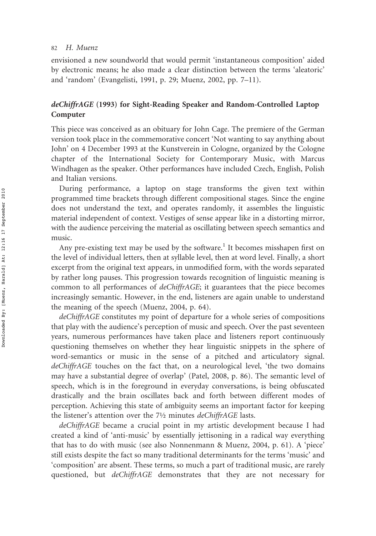#### 82 H. Muenz

envisioned a new soundworld that would permit 'instantaneous composition' aided by electronic means; he also made a clear distinction between the terms 'aleatoric' and 'random' (Evangelisti, 1991, p. 29; Muenz, 2002, pp. 7–11).

# deChiffrAGE (1993) for Sight-Reading Speaker and Random-Controlled Laptop Computer

This piece was conceived as an obituary for John Cage. The premiere of the German version took place in the commemorative concert 'Not wanting to say anything about John' on 4 December 1993 at the Kunstverein in Cologne, organized by the Cologne chapter of the International Society for Contemporary Music, with Marcus Windhagen as the speaker. Other performances have included Czech, English, Polish and Italian versions.

During performance, a laptop on stage transforms the given text within programmed time brackets through different compositional stages. Since the engine does not understand the text, and operates randomly, it assembles the linguistic material independent of context. Vestiges of sense appear like in a distorting mirror, with the audience perceiving the material as oscillating between speech semantics and music.

Any pre-existing text may be used by the software.<sup>1</sup> It becomes misshapen first on the level of individual letters, then at syllable level, then at word level. Finally, a short excerpt from the original text appears, in unmodified form, with the words separated by rather long pauses. This progression towards recognition of linguistic meaning is common to all performances of *deChiffrAGE*; it guarantees that the piece becomes increasingly semantic. However, in the end, listeners are again unable to understand the meaning of the speech (Muenz, 2004, p. 64).

deChiffrAGE constitutes my point of departure for a whole series of compositions that play with the audience's perception of music and speech. Over the past seventeen years, numerous performances have taken place and listeners report continuously questioning themselves on whether they hear linguistic snippets in the sphere of word-semantics or music in the sense of a pitched and articulatory signal. deChiffrAGE touches on the fact that, on a neurological level, 'the two domains may have a substantial degree of overlap' (Patel, 2008, p. 86). The semantic level of speech, which is in the foreground in everyday conversations, is being obfuscated drastically and the brain oscillates back and forth between different modes of perception. Achieving this state of ambiguity seems an important factor for keeping the listener's attention over the 7½ minutes deChiffrAGE lasts.

deChiffrAGE became a crucial point in my artistic development because I had created a kind of 'anti-music' by essentially jettisoning in a radical way everything that has to do with music (see also Nonnenmann & Muenz, 2004, p. 61). A 'piece' still exists despite the fact so many traditional determinants for the terms 'music' and 'composition' are absent. These terms, so much a part of traditional music, are rarely questioned, but *deChiffrAGE* demonstrates that they are not necessary for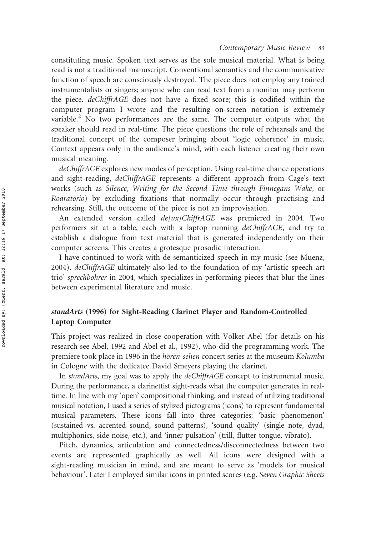## Contemporary Music Review 83

constituting music. Spoken text serves as the sole musical material. What is being read is not a traditional manuscript. Conventional semantics and the communicative function of speech are consciously destroyed. The piece does not employ any trained instrumentalists or singers; anyone who can read text from a monitor may perform the piece. deChiffrAGE does not have a fixed score; this is codified within the computer program I wrote and the resulting on-screen notation is extremely variable.<sup>2</sup> No two performances are the same. The computer outputs what the speaker should read in real-time. The piece questions the role of rehearsals and the traditional concept of the composer bringing about 'logic coherence' in music. Context appears only in the audience's mind, with each listener creating their own musical meaning.

deChiffrAGE explores new modes of perception. Using real-time chance operations and sight-reading, deChiffrAGE represents a different approach from Cage's text works (such as Silence, Writing for the Second Time through Finnegans Wake, or Roaratorio) by excluding fixations that normally occur through practising and rehearsing. Still, the outcome of the piece is not an improvisation.

An extended version called *de[ux]ChiffrAGE* was premiered in 2004. Two performers sit at a table, each with a laptop running deChiffrAGE, and try to establish a dialogue from text material that is generated independently on their computer screens. This creates a grotesque prosodic interaction.

I have continued to work with de-semanticized speech in my music (see Muenz, 2004). *deChiffrAGE* ultimately also led to the foundation of my 'artistic speech art trio' sprechbohrer in 2004, which specializes in performing pieces that blur the lines between experimental literature and music.

# standArts (1996) for Sight-Reading Clarinet Player and Random-Controlled Laptop Computer

This project was realized in close cooperation with Volker Abel (for details on his research see Abel, 1992 and Abel et al., 1992), who did the programming work. The premiere took place in 1996 in the *horen-sehen* concert series at the museum *Kolumba* in Cologne with the dedicatee David Smeyers playing the clarinet.

In *standArts*, my goal was to apply the *deChiffrAGE* concept to instrumental music. During the performance, a clarinettist sight-reads what the computer generates in realtime. In line with my 'open' compositional thinking, and instead of utilizing traditional musical notation, I used a series of stylized pictograms (icons) to represent fundamental musical parameters. These icons fall into three categories: 'basic phenomenon' (sustained vs. accented sound, sound patterns), 'sound quality' (single note, dyad, multiphonics, side noise, etc.), and 'inner pulsation' (trill, flutter tongue, vibrato).

Pitch, dynamics, articulation and connectedness/disconnectedness between two events are represented graphically as well. All icons were designed with a sight-reading musician in mind, and are meant to serve as 'models for musical behaviour'. Later I employed similar icons in printed scores (e.g. Seven Graphic Sheets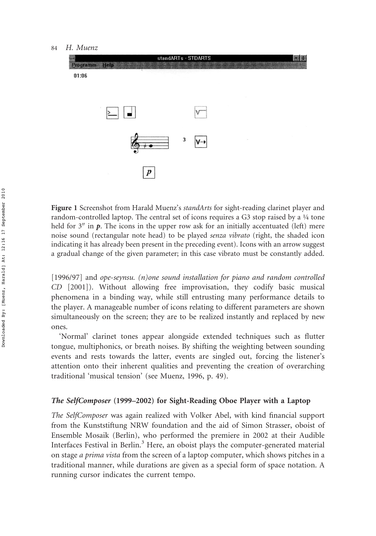

Figure 1 Screenshot from Harald Muenz's *standArts* for sight-reading clarinet player and random-controlled laptop. The central set of icons requires a G3 stop raised by a  $\frac{1}{4}$  tone held for  $3''$  in  $\mathbf{p}$ . The icons in the upper row ask for an initially accentuated (left) mere noise sound (rectangular note head) to be played senza vibrato (right, the shaded icon indicating it has already been present in the preceding event). Icons with an arrow suggest a gradual change of the given parameter; in this case vibrato must be constantly added.

[1996/97] and ope-seynsu. (n)one sound installation for piano and random controlled CD [2001]). Without allowing free improvisation, they codify basic musical phenomena in a binding way, while still entrusting many performance details to the player. A manageable number of icons relating to different parameters are shown simultaneously on the screen; they are to be realized instantly and replaced by new ones.

'Normal' clarinet tones appear alongside extended techniques such as flutter tongue, multiphonics, or breath noises. By shifting the weighting between sounding events and rests towards the latter, events are singled out, forcing the listener's attention onto their inherent qualities and preventing the creation of overarching traditional 'musical tension' (see Muenz, 1996, p. 49).

#### The SelfComposer (1999–2002) for Sight-Reading Oboe Player with a Laptop

The SelfComposer was again realized with Volker Abel, with kind financial support from the Kunststiftung NRW foundation and the aid of Simon Strasser, oboist of Ensemble Mosaik (Berlin), who performed the premiere in 2002 at their Audible Interfaces Festival in Berlin. $3$  Here, an oboist plays the computer-generated material on stage a prima vista from the screen of a laptop computer, which shows pitches in a traditional manner, while durations are given as a special form of space notation. A running cursor indicates the current tempo.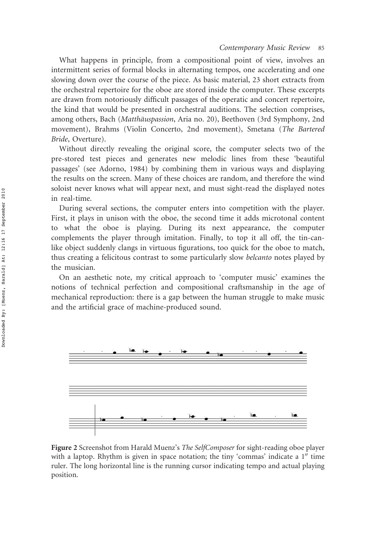What happens in principle, from a compositional point of view, involves an intermittent series of formal blocks in alternating tempos, one accelerating and one slowing down over the course of the piece. As basic material, 23 short extracts from the orchestral repertoire for the oboe are stored inside the computer. These excerpts are drawn from notoriously difficult passages of the operatic and concert repertoire, the kind that would be presented in orchestral auditions. The selection comprises, among others, Bach (Matthäuspassion, Aria no. 20), Beethoven (3rd Symphony, 2nd movement), Brahms (Violin Concerto, 2nd movement), Smetana (The Bartered Bride, Overture).

Without directly revealing the original score, the computer selects two of the pre-stored test pieces and generates new melodic lines from these 'beautiful passages' (see Adorno, 1984) by combining them in various ways and displaying the results on the screen. Many of these choices are random, and therefore the wind soloist never knows what will appear next, and must sight-read the displayed notes in real-time.

During several sections, the computer enters into competition with the player. First, it plays in unison with the oboe, the second time it adds microtonal content to what the oboe is playing. During its next appearance, the computer complements the player through imitation. Finally, to top it all off, the tin-canlike object suddenly clangs in virtuous figurations, too quick for the oboe to match, thus creating a felicitous contrast to some particularly slow belcanto notes played by the musician.

On an aesthetic note, my critical approach to 'computer music' examines the notions of technical perfection and compositional craftsmanship in the age of mechanical reproduction: there is a gap between the human struggle to make music and the artificial grace of machine-produced sound.



Figure 2 Screenshot from Harald Muenz's The SelfComposer for sight-reading oboe player with a laptop. Rhythm is given in space notation; the tiny 'commas' indicate a  $1<sup>0</sup>$  time ruler. The long horizontal line is the running cursor indicating tempo and actual playing position.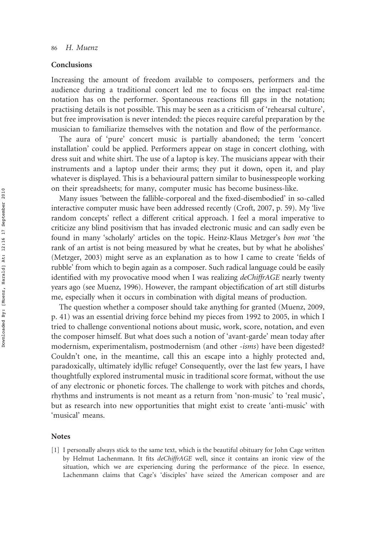## Conclusions

Increasing the amount of freedom available to composers, performers and the audience during a traditional concert led me to focus on the impact real-time notation has on the performer. Spontaneous reactions fill gaps in the notation; practising details is not possible. This may be seen as a criticism of 'rehearsal culture', but free improvisation is never intended: the pieces require careful preparation by the musician to familiarize themselves with the notation and flow of the performance.

The aura of 'pure' concert music is partially abandoned; the term 'concert installation' could be applied. Performers appear on stage in concert clothing, with dress suit and white shirt. The use of a laptop is key. The musicians appear with their instruments and a laptop under their arms; they put it down, open it, and play whatever is displayed. This is a behavioural pattern similar to businesspeople working on their spreadsheets; for many, computer music has become business-like.

Many issues 'between the fallible-corporeal and the fixed-disembodied' in so-called interactive computer music have been addressed recently (Croft, 2007, p. 59). My 'live random concepts' reflect a different critical approach. I feel a moral imperative to criticize any blind positivism that has invaded electronic music and can sadly even be found in many 'scholarly' articles on the topic. Heinz-Klaus Metzger's bon mot 'the rank of an artist is not being measured by what he creates, but by what he abolishes' (Metzger, 2003) might serve as an explanation as to how I came to create 'fields of rubble' from which to begin again as a composer. Such radical language could be easily identified with my provocative mood when I was realizing deChiffrAGE nearly twenty years ago (see Muenz, 1996). However, the rampant objectification of art still disturbs me, especially when it occurs in combination with digital means of production.

The question whether a composer should take anything for granted (Muenz, 2009, p. 41) was an essential driving force behind my pieces from 1992 to 2005, in which I tried to challenge conventional notions about music, work, score, notation, and even the composer himself. But what does such a notion of 'avant-garde' mean today after modernism, experimentalism, postmodernism (and other -isms) have been digested? Couldn't one, in the meantime, call this an escape into a highly protected and, paradoxically, ultimately idyllic refuge? Consequently, over the last few years, I have thoughtfully explored instrumental music in traditional score format, without the use of any electronic or phonetic forces. The challenge to work with pitches and chords, rhythms and instruments is not meant as a return from 'non-music' to 'real music', but as research into new opportunities that might exist to create 'anti-music' with 'musical' means.

#### **Notes**

[1] I personally always stick to the same text, which is the beautiful obituary for John Cage written by Helmut Lachenmann. It fits deChiffrAGE well, since it contains an ironic view of the situation, which we are experiencing during the performance of the piece. In essence, Lachenmann claims that Cage's 'disciples' have seized the American composer and are